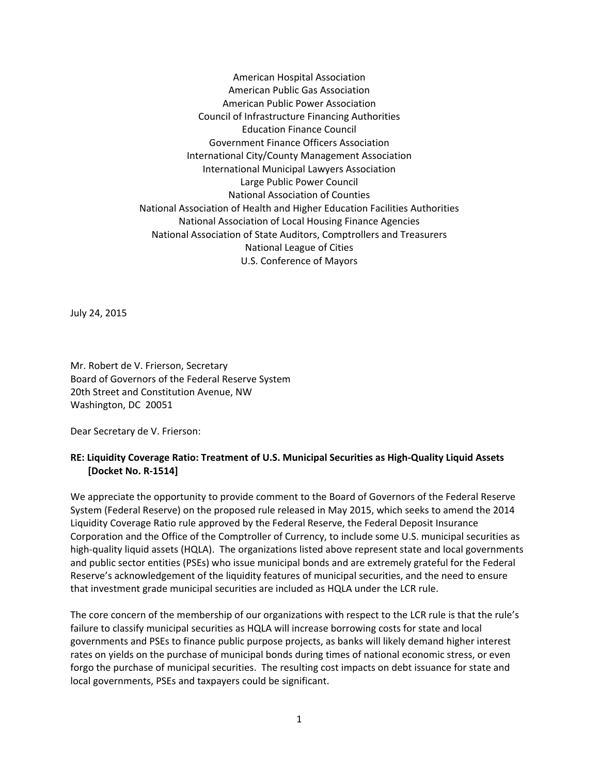American Hospital Association American Public Gas Association American Public Power Association Council of Infrastructure Financing Authorities Education Finance Council Government Finance Officers Association International City/County Management Association International Municipal Lawyers Association Large Public Power Council National Association of Counties National Association of Health and Higher Education Facilities Authorities National Association of Local Housing Finance Agencies National Association of State Auditors, Comptrollers and Treasurers National League of Cities U.S. Conference of Mayors

July 24, 2015

Mr. Robert de V. Frierson, Secretary Board of Governors of the Federal Reserve System 20th Street and Constitution Avenue, NW Washington, DC 20051

Dear Secretary de V. Frierson:

#### **RE: Liquidity Coverage Ratio: Treatment of U.S. Municipal Securities as High‐Quality Liquid Assets [Docket No. R‐1514]**

We appreciate the opportunity to provide comment to the Board of Governors of the Federal Reserve System (Federal Reserve) on the proposed rule released in May 2015, which seeks to amend the 2014 Liquidity Coverage Ratio rule approved by the Federal Reserve, the Federal Deposit Insurance Corporation and the Office of the Comptroller of Currency, to include some U.S. municipal securities as high-quality liquid assets (HQLA). The organizations listed above represent state and local governments and public sector entities (PSEs) who issue municipal bonds and are extremely grateful for the Federal Reserve's acknowledgement of the liquidity features of municipal securities, and the need to ensure that investment grade municipal securities are included as HQLA under the LCR rule.

The core concern of the membership of our organizations with respect to the LCR rule is that the rule's failure to classify municipal securities as HQLA will increase borrowing costs for state and local governments and PSEs to finance public purpose projects, as banks will likely demand higher interest rates on yields on the purchase of municipal bonds during times of national economic stress, or even forgo the purchase of municipal securities. The resulting cost impacts on debt issuance for state and local governments, PSEs and taxpayers could be significant.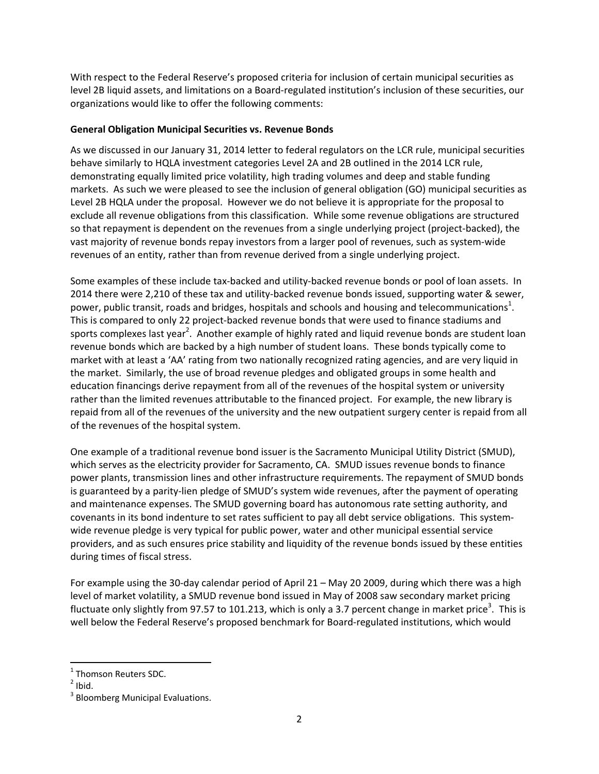With respect to the Federal Reserve's proposed criteria for inclusion of certain municipal securities as level 2B liquid assets, and limitations on a Board‐regulated institution's inclusion of these securities, our organizations would like to offer the following comments:

#### **General Obligation Municipal Securities vs. Revenue Bonds**

As we discussed in our January 31, 2014 letter to federal regulators on the LCR rule, municipal securities behave similarly to HQLA investment categories Level 2A and 2B outlined in the 2014 LCR rule, demonstrating equally limited price volatility, high trading volumes and deep and stable funding markets. As such we were pleased to see the inclusion of general obligation (GO) municipal securities as Level 2B HQLA under the proposal. However we do not believe it is appropriate for the proposal to exclude all revenue obligations from this classification. While some revenue obligations are structured so that repayment is dependent on the revenues from a single underlying project (project-backed), the vast majority of revenue bonds repay investors from a larger pool of revenues, such as system‐wide revenues of an entity, rather than from revenue derived from a single underlying project.

Some examples of these include tax‐backed and utility‐backed revenue bonds or pool of loan assets. In 2014 there were 2,210 of these tax and utility‐backed revenue bonds issued, supporting water & sewer, power, public transit, roads and bridges, hospitals and schools and housing and telecommunications<sup>1</sup>. This is compared to only 22 project-backed revenue bonds that were used to finance stadiums and sports complexes last year<sup>2</sup>. Another example of highly rated and liquid revenue bonds are student loan revenue bonds which are backed by a high number of student loans. These bonds typically come to market with at least a 'AA' rating from two nationally recognized rating agencies, and are very liquid in the market. Similarly, the use of broad revenue pledges and obligated groups in some health and education financings derive repayment from all of the revenues of the hospital system or university rather than the limited revenues attributable to the financed project. For example, the new library is repaid from all of the revenues of the university and the new outpatient surgery center is repaid from all of the revenues of the hospital system.

One example of a traditional revenue bond issuer is the Sacramento Municipal Utility District (SMUD), which serves as the electricity provider for Sacramento, CA. SMUD issues revenue bonds to finance power plants, transmission lines and other infrastructure requirements. The repayment of SMUD bonds is guaranteed by a parity‐lien pledge of SMUD's system wide revenues, after the payment of operating and maintenance expenses. The SMUD governing board has autonomous rate setting authority, and covenants in its bond indenture to set rates sufficient to pay all debt service obligations. This system‐ wide revenue pledge is very typical for public power, water and other municipal essential service providers, and as such ensures price stability and liquidity of the revenue bonds issued by these entities during times of fiscal stress.

For example using the 30‐day calendar period of April 21 – May 20 2009, during which there was a high level of market volatility, a SMUD revenue bond issued in May of 2008 saw secondary market pricing fluctuate only slightly from 97.57 to 101.213, which is only a 3.7 percent change in market price<sup>3</sup>. This is well below the Federal Reserve's proposed benchmark for Board-regulated institutions, which would

 $\frac{1}{2}$  Thomson Reuters SDC.<br> $\frac{2}{2}$  Ibid.

<sup>&</sup>lt;sup>3</sup> Bloomberg Municipal Evaluations.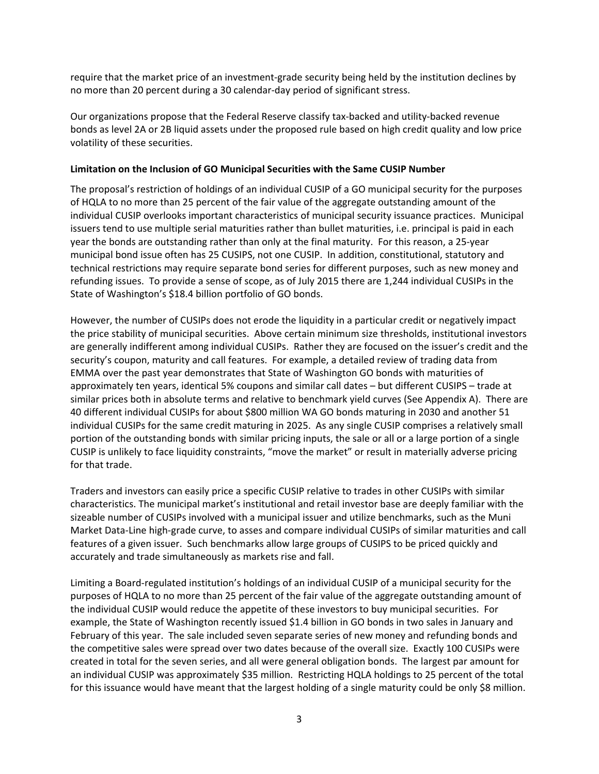require that the market price of an investment‐grade security being held by the institution declines by no more than 20 percent during a 30 calendar‐day period of significant stress.

Our organizations propose that the Federal Reserve classify tax‐backed and utility‐backed revenue bonds as level 2A or 2B liquid assets under the proposed rule based on high credit quality and low price volatility of these securities.

#### **Limitation on the Inclusion of GO Municipal Securities with the Same CUSIP Number**

The proposal's restriction of holdings of an individual CUSIP of a GO municipal security for the purposes of HQLA to no more than 25 percent of the fair value of the aggregate outstanding amount of the individual CUSIP overlooks important characteristics of municipal security issuance practices. Municipal issuers tend to use multiple serial maturities rather than bullet maturities, i.e. principal is paid in each year the bonds are outstanding rather than only at the final maturity. For this reason, a 25‐year municipal bond issue often has 25 CUSIPS, not one CUSIP. In addition, constitutional, statutory and technical restrictions may require separate bond series for different purposes, such as new money and refunding issues. To provide a sense of scope, as of July 2015 there are 1,244 individual CUSIPs in the State of Washington's \$18.4 billion portfolio of GO bonds.

However, the number of CUSIPs does not erode the liquidity in a particular credit or negatively impact the price stability of municipal securities. Above certain minimum size thresholds, institutional investors are generally indifferent among individual CUSIPs. Rather they are focused on the issuer's credit and the security's coupon, maturity and call features. For example, a detailed review of trading data from EMMA over the past year demonstrates that State of Washington GO bonds with maturities of approximately ten years, identical 5% coupons and similar call dates – but different CUSIPS – trade at similar prices both in absolute terms and relative to benchmark yield curves (See Appendix A). There are 40 different individual CUSIPs for about \$800 million WA GO bonds maturing in 2030 and another 51 individual CUSIPs for the same credit maturing in 2025. As any single CUSIP comprises a relatively small portion of the outstanding bonds with similar pricing inputs, the sale or all or a large portion of a single CUSIP is unlikely to face liquidity constraints, "move the market" or result in materially adverse pricing for that trade.

Traders and investors can easily price a specific CUSIP relative to trades in other CUSIPs with similar characteristics. The municipal market's institutional and retail investor base are deeply familiar with the sizeable number of CUSIPs involved with a municipal issuer and utilize benchmarks, such as the Muni Market Data‐Line high‐grade curve, to asses and compare individual CUSIPs of similar maturities and call features of a given issuer. Such benchmarks allow large groups of CUSIPS to be priced quickly and accurately and trade simultaneously as markets rise and fall.

Limiting a Board‐regulated institution's holdings of an individual CUSIP of a municipal security for the purposes of HQLA to no more than 25 percent of the fair value of the aggregate outstanding amount of the individual CUSIP would reduce the appetite of these investors to buy municipal securities. For example, the State of Washington recently issued \$1.4 billion in GO bonds in two sales in January and February of this year. The sale included seven separate series of new money and refunding bonds and the competitive sales were spread over two dates because of the overall size. Exactly 100 CUSIPs were created in total for the seven series, and all were general obligation bonds. The largest par amount for an individual CUSIP was approximately \$35 million. Restricting HQLA holdings to 25 percent of the total for this issuance would have meant that the largest holding of a single maturity could be only \$8 million.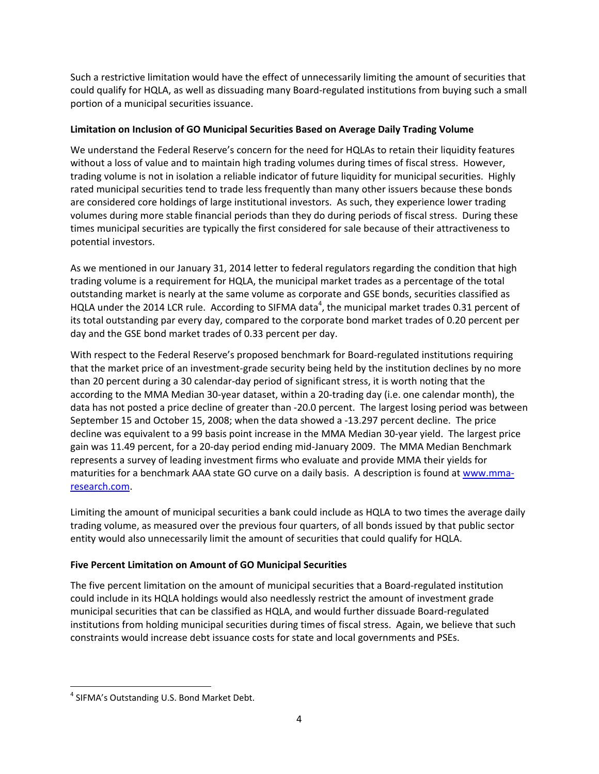Such a restrictive limitation would have the effect of unnecessarily limiting the amount of securities that could qualify for HQLA, as well as dissuading many Board‐regulated institutions from buying such a small portion of a municipal securities issuance.

### **Limitation on Inclusion of GO Municipal Securities Based on Average Daily Trading Volume**

We understand the Federal Reserve's concern for the need for HQLAs to retain their liquidity features without a loss of value and to maintain high trading volumes during times of fiscal stress. However, trading volume is not in isolation a reliable indicator of future liquidity for municipal securities. Highly rated municipal securities tend to trade less frequently than many other issuers because these bonds are considered core holdings of large institutional investors. As such, they experience lower trading volumes during more stable financial periods than they do during periods of fiscal stress. During these times municipal securities are typically the first considered for sale because of their attractiveness to potential investors.

As we mentioned in our January 31, 2014 letter to federal regulators regarding the condition that high trading volume is a requirement for HQLA, the municipal market trades as a percentage of the total outstanding market is nearly at the same volume as corporate and GSE bonds, securities classified as HQLA under the 2014 LCR rule. According to SIFMA data<sup>4</sup>, the municipal market trades 0.31 percent of its total outstanding par every day, compared to the corporate bond market trades of 0.20 percent per day and the GSE bond market trades of 0.33 percent per day.

With respect to the Federal Reserve's proposed benchmark for Board-regulated institutions requiring that the market price of an investment‐grade security being held by the institution declines by no more than 20 percent during a 30 calendar‐day period of significant stress, it is worth noting that the according to the MMA Median 30‐year dataset, within a 20‐trading day (i.e. one calendar month), the data has not posted a price decline of greater than ‐20.0 percent. The largest losing period was between September 15 and October 15, 2008; when the data showed a ‐13.297 percent decline. The price decline was equivalent to a 99 basis point increase in the MMA Median 30‐year yield. The largest price gain was 11.49 percent, for a 20‐day period ending mid‐January 2009. The MMA Median Benchmark represents a survey of leading investment firms who evaluate and provide MMA their yields for maturities for a benchmark AAA state GO curve on a daily basis. A description is found at www.mmaresearch.com.

Limiting the amount of municipal securities a bank could include as HQLA to two times the average daily trading volume, as measured over the previous four quarters, of all bonds issued by that public sector entity would also unnecessarily limit the amount of securities that could qualify for HQLA.

### **Five Percent Limitation on Amount of GO Municipal Securities**

The five percent limitation on the amount of municipal securities that a Board‐regulated institution could include in its HQLA holdings would also needlessly restrict the amount of investment grade municipal securities that can be classified as HQLA, and would further dissuade Board‐regulated institutions from holding municipal securities during times of fiscal stress. Again, we believe that such constraints would increase debt issuance costs for state and local governments and PSEs.

 <sup>4</sup> SIFMA's Outstanding U.S. Bond Market Debt.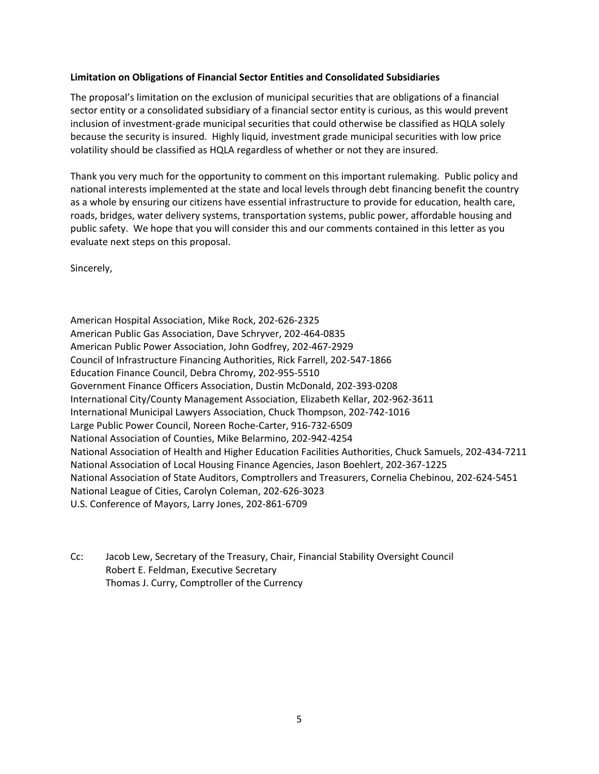#### **Limitation on Obligations of Financial Sector Entities and Consolidated Subsidiaries**

The proposal's limitation on the exclusion of municipal securities that are obligations of a financial sector entity or a consolidated subsidiary of a financial sector entity is curious, as this would prevent inclusion of investment-grade municipal securities that could otherwise be classified as HQLA solely because the security is insured. Highly liquid, investment grade municipal securities with low price volatility should be classified as HQLA regardless of whether or not they are insured.

Thank you very much for the opportunity to comment on this important rulemaking. Public policy and national interests implemented at the state and local levels through debt financing benefit the country as a whole by ensuring our citizens have essential infrastructure to provide for education, health care, roads, bridges, water delivery systems, transportation systems, public power, affordable housing and public safety. We hope that you will consider this and our comments contained in this letter as you evaluate next steps on this proposal.

Sincerely,

American Hospital Association, Mike Rock, 202‐626‐2325 American Public Gas Association, Dave Schryver, 202‐464‐0835 American Public Power Association, John Godfrey, 202‐467‐2929 Council of Infrastructure Financing Authorities, Rick Farrell, 202‐547‐1866 Education Finance Council, Debra Chromy, 202‐955‐5510 Government Finance Officers Association, Dustin McDonald, 202‐393‐0208 International City/County Management Association, Elizabeth Kellar, 202‐962‐3611 International Municipal Lawyers Association, Chuck Thompson, 202‐742‐1016 Large Public Power Council, Noreen Roche‐Carter, 916‐732‐6509 National Association of Counties, Mike Belarmino, 202‐942‐4254 National Association of Health and Higher Education Facilities Authorities, Chuck Samuels, 202‐434‐7211 National Association of Local Housing Finance Agencies, Jason Boehlert, 202‐367‐1225 National Association of State Auditors, Comptrollers and Treasurers, Cornelia Chebinou, 202‐624‐5451 National League of Cities, Carolyn Coleman, 202‐626‐3023 U.S. Conference of Mayors, Larry Jones, 202‐861‐6709

Cc: Jacob Lew, Secretary of the Treasury, Chair, Financial Stability Oversight Council Robert E. Feldman, Executive Secretary Thomas J. Curry, Comptroller of the Currency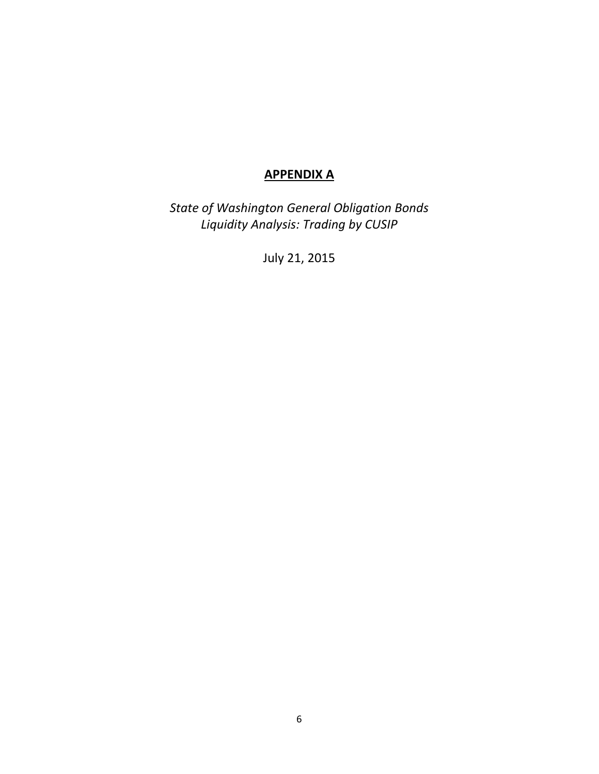### **APPENDIX A**

*State of Washington General Obligation Bonds Liquidity Analysis: Trading by CUSIP*

July 21, 2015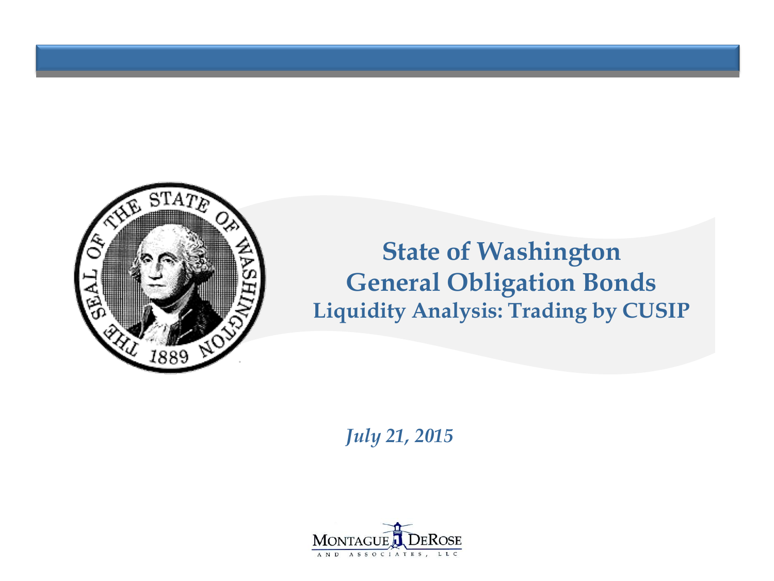

**State of Washington General Obligation Bonds Liquidity Analysis: Trading by CUSIP**

*July 21, 2015*

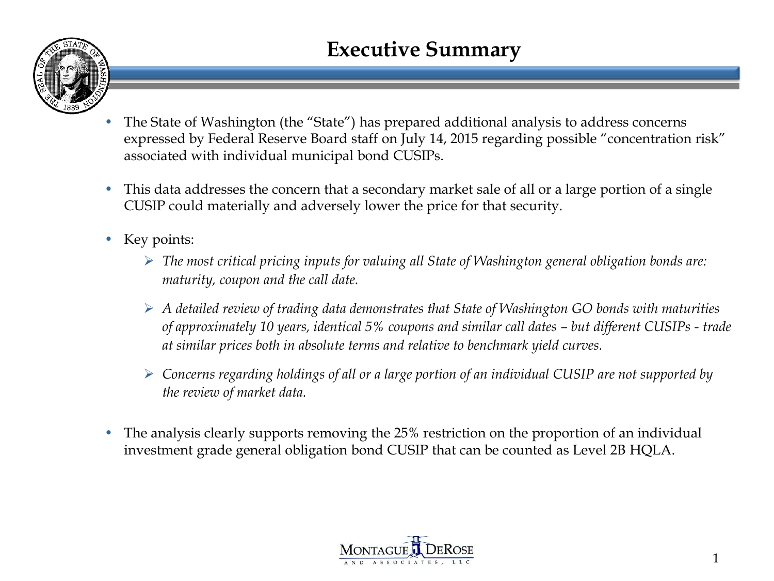### **Executive Summary**



- The State of Washington (the "State") has prepared additional analysis to address concerns expressed by Federal Reserve Board staff on July 14, 2015 regarding possible "concentration risk" associated with individual municipal bond CUSIPs.
- This data addresses the concern that a secondary market sale of all or a large portion of a single CUSIP could materially and adversely lower the price for that security.
- Key points:
	- *The most critical pricing inputs for valuing all State of Washington general obligation bonds are: maturity, coupon and the call date.*
	- *A detailed review of trading data demonstrates that State of Washington GO bonds with maturities of approximately 10 years, identical* 5% coupons and similar call dates – but different CUSIPs - trade *at similar prices both in absolute terms and relative to benchmark yield curves.*
	- *Concerns regarding holdings of all or a large portion of an individual CUSIP are not supported by the review of market data.*
- The analysis clearly supports removing the 25% restriction on the proportion of an individual investment grade general obligation bond CUSIP that can be counted as Level 2B HQLA.

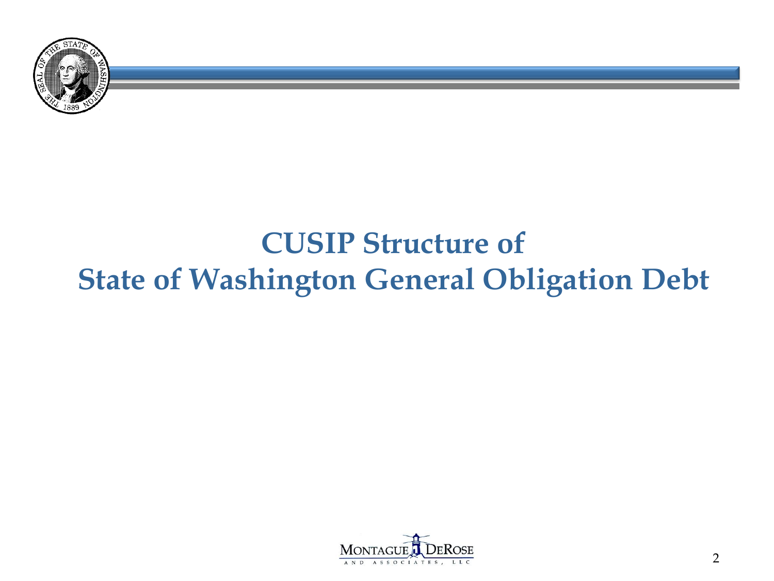

# **CUSIP Structure of State of Washington General Obligation Debt**

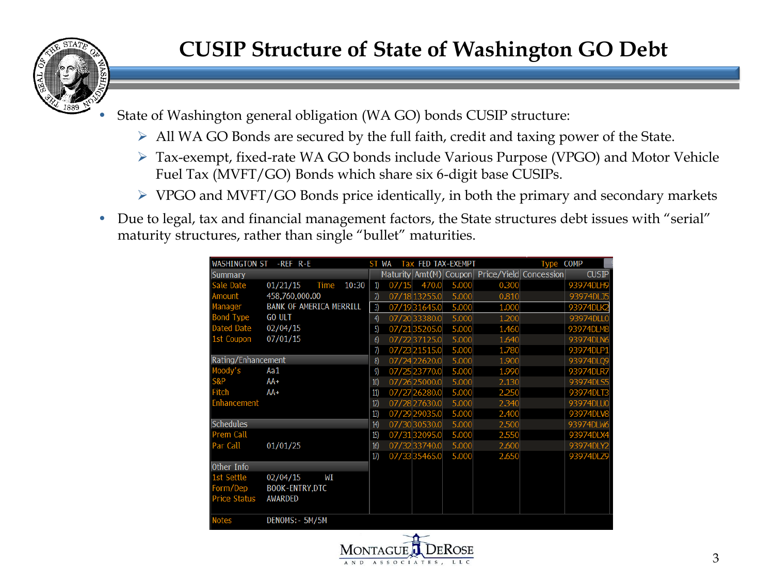

- State of Washington general obligation (WA GO) bonds CUSIP structure:
	- All WA GO Bonds are secured by the full faith, credit and taxing power of the State.
	- Tax-exempt, fixed-rate WA GO bonds include Various Purpose (VPGO) and Motor Vehicle Fuel Tax (MVFT/GO) Bonds which share six 6-digit base CUSIPs.
	- $\triangleright$  VPGO and MVFT/GO Bonds price identically, in both the primary and secondary markets
- Due to legal, tax and financial management factors, the State structures debt issues with "serial" maturity structures, rather than single "bullet" maturities.

| <b>WASHINGTON ST</b><br>-REF R-E<br>ST WA                        | <b>Tax FED TAX-EXEMPT</b> | Type COMP    |
|------------------------------------------------------------------|---------------------------|--------------|
| Maturity Amt(M) Coupon<br>Summary                                | Price/Yield Concession    | <b>CUSIP</b> |
| Sale Date<br>07/15<br>01/21/15<br>10:30<br>1)<br>Time            | 5.000<br>470.0<br>0.300   | 93974DLH9    |
| 458,760,000.00<br>Amount<br>$\mathfrak{D}$<br>07/18 13255.0      | 5.000<br>0.810            | 93974DLJ5    |
| <b>BANK OF AMERICA MERRILL</b><br>Manager<br>3)<br>07/19 31645.0 | 5.000<br>1.000            | 93974DLK2    |
| <b>Bond Type</b><br><b>GO ULT</b><br>07/20 33380.0<br>4)         | 5.000<br>1.200            | 93974DLL0    |
| Dated Date<br>02/04/15<br>5)<br>07/2135205.0                     | 5.000<br>1.460            | 93974DLM8    |
| 1st Coupon<br>07/01/15<br>07/22 37125.0<br>6)                    | 5.000<br>1.640            | 93974DLN6    |
| 7)<br>07/23 21515.0                                              | 5.000<br>1.780            | 93974DLP1    |
| Rating/Enhancement<br>07/24 22620.0<br>$ 8\rangle$               | 5.000<br>1.900            | 93974DL09    |
| Moody's<br>Aa1<br>9)<br>07/25 23770.0                            | 5.000<br>1.990            | 93974DLR7    |
| <b>S&amp;P</b><br>AA+<br>07/26 25000.0<br>10)                    | 5.000<br>2.130            | 93974DLS5    |
| Fitch<br>$AA+$<br>11)<br>07/27 26280.0                           | 5.000<br>2.250            | 93974DLT3    |
| Enhancement<br>07/28 27630.0<br>12)                              | 5.000<br>2.340            | 93974DLU0    |
| 13)<br>07/29 29035.0                                             | 5.000<br>2.400            | 93974DLV8    |
| Schedules<br>07/30 30530.0<br>14)                                | 5.000<br>2.500            | 93974DLW6    |
| <b>Prem Call</b><br>07/3132095.0<br>15)                          | 5.000<br>2.550            | 93974DLX4    |
| <b>Par Call</b><br>16)<br>07/32 33740.0<br>01/01/25              | 5.000<br>2.600            | 93974DLY2    |
| 17)<br>07/33 35465.0                                             | 5.000<br>2.650            | 93974DLZ9    |
| Other Info                                                       |                           |              |
| 1st Settle<br>02/04/15<br>WI                                     |                           |              |
| <b>BOOK-ENTRY,DTC</b><br>Form/Dep                                |                           |              |
| <b>Price Status</b><br><b>AWARDED</b>                            |                           |              |
|                                                                  |                           |              |
| <b>Notes</b><br>DENOMS: - 5M/5M                                  |                           |              |

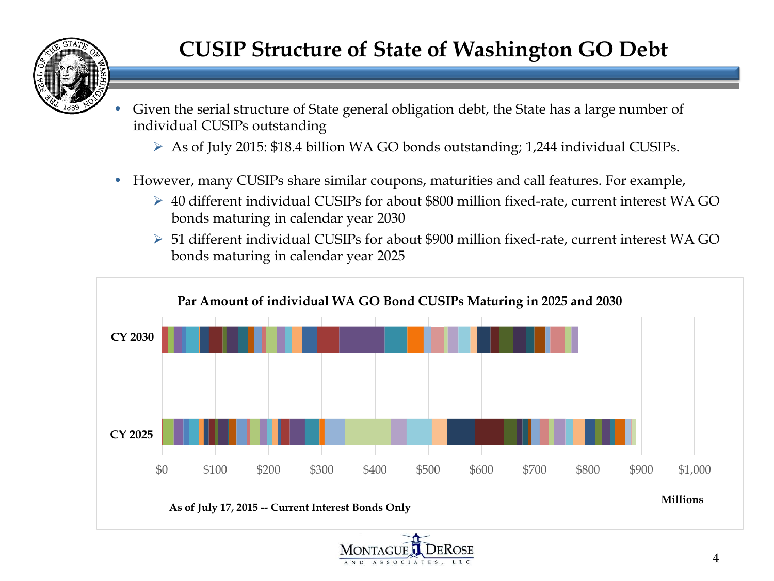

### **CUSIP Structure of State of Washington GO Debt**

- Given the serial structure of State general obligation debt, the State has a large number of individual CUSIPs outstanding
	- As of July 2015: \$18.4 billion WA GO bonds outstanding; 1,244 individual CUSIPs.
- However, many CUSIPs share similar coupons, maturities and call features. For example,
	- 40 different individual CUSIPs for about \$800 million fixed-rate, current interest WA GO bonds maturing in calendar year 2030
	- 51 different individual CUSIPs for about \$900 million fixed-rate, current interest WA GO bonds maturing in calendar year 2025



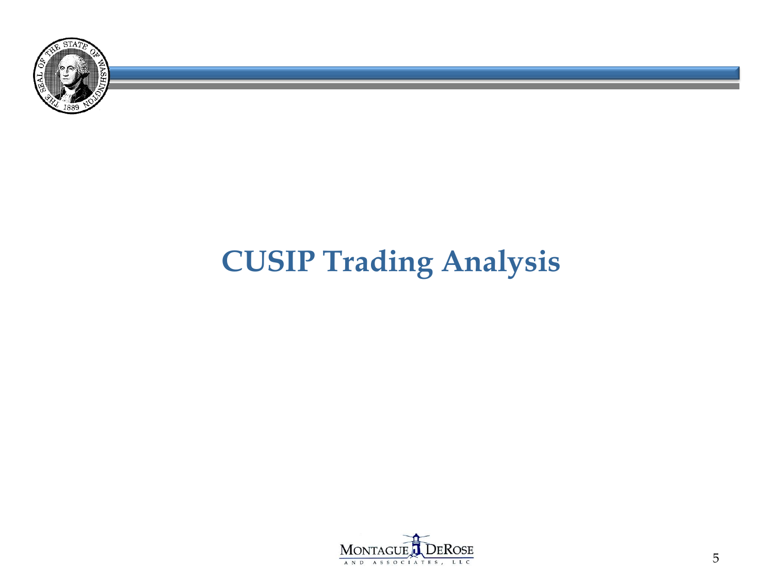

# **CUSIP Trading Analysis**

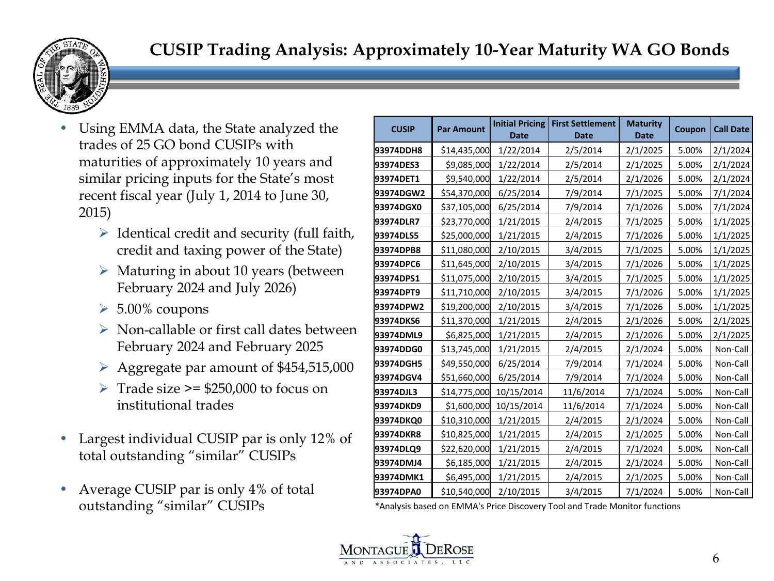

- Using EMMA data, the State analyzed the trades of 25 GO bond CUSIPs with maturities of approximately 10 years and similar pricing inputs for the State's most recent fiscal year (July 1, 2014 to June 30, 2015)
	- $\triangleright$  Identical credit and security (full faith, credit and taxing power of the State)
	- $\triangleright$  Maturing in about 10 years (between February 2024 and July 2026)
	- $\triangleright$  5.00% coupons
	- $\triangleright$  Non-callable or first call dates between February 2024 and February 2025
	- $\triangleright$  Aggregate par amount of \$454,515,000
	- $\triangleright$  Trade size  $\ge$  = \$250,000 to focus on institutional trades
- Largest individual CUSIP par is only 12% of total outstanding "similar" CUSIPs
- Average CUSIP par is only 4% of total outstanding "similar" CUSIPs

| <b>CUSIP</b> | <b>Par Amount</b> | <b>Initial Pricing</b><br><b>Date</b> | <b>First Settlement</b><br><b>Date</b> | <b>Maturity</b><br><b>Date</b> | Coupon | <b>Call Date</b> |
|--------------|-------------------|---------------------------------------|----------------------------------------|--------------------------------|--------|------------------|
| 93974DDH8    | \$14,435,000      | 1/22/2014                             | 2/5/2014                               | 2/1/2025                       | 5.00%  | 2/1/2024         |
| 93974DES3    | \$9,085,000       | 1/22/2014                             | 2/5/2014                               | 2/1/2025                       | 5.00%  | 2/1/2024         |
| 93974DET1    | \$9,540,000       | 1/22/2014                             | 2/5/2014                               | 2/1/2026                       | 5.00%  | 2/1/2024         |
| 93974DGW2    | \$54,370,000      | 6/25/2014                             | 7/9/2014                               | 7/1/2025                       | 5.00%  | 7/1/2024         |
| 93974DGX0    | \$37,105,000      | 6/25/2014                             | 7/9/2014                               | 7/1/2026                       | 5.00%  | 7/1/2024         |
| 93974DLR7    | \$23,770,000      | 1/21/2015                             | 2/4/2015                               | 7/1/2025                       | 5.00%  | 1/1/2025         |
| 93974DLS5    | \$25,000,000      | 1/21/2015                             | 2/4/2015                               | 7/1/2026                       | 5.00%  | 1/1/2025         |
| 93974DPB8    | \$11,080,000      | 2/10/2015                             | 3/4/2015                               | 7/1/2025                       | 5.00%  | 1/1/2025         |
| 93974DPC6    | \$11,645,000      | 2/10/2015                             | 3/4/2015                               | 7/1/2026                       | 5.00%  | 1/1/2025         |
| 93974DPS1    | \$11,075,000      | 2/10/2015                             | 3/4/2015                               | 7/1/2025                       | 5.00%  | 1/1/2025         |
| 93974DPT9    | \$11,710,000      | 2/10/2015                             | 3/4/2015                               | 7/1/2026                       | 5.00%  | 1/1/2025         |
| 93974DPW2    | \$19,200,000      | 2/10/2015                             | 3/4/2015                               | 7/1/2026                       | 5.00%  | 1/1/2025         |
| 93974DKS6    | \$11,370,000      | 1/21/2015                             | 2/4/2015                               | 2/1/2026                       | 5.00%  | 2/1/2025         |
| 93974DML9    | \$6,825,000       | 1/21/2015                             | 2/4/2015                               | 2/1/2026                       | 5.00%  | 2/1/2025         |
| 93974DDG0    | \$13,745,000      | 1/21/2015                             | 2/4/2015                               | 2/1/2024                       | 5.00%  | Non-Call         |
| 93974DGH5    | \$49,550,000      | 6/25/2014                             | 7/9/2014                               | 7/1/2024                       | 5.00%  | Non-Call         |
| 93974DGV4    | \$51,660,000      | 6/25/2014                             | 7/9/2014                               | 7/1/2024                       | 5.00%  | Non-Call         |
| 93974DJL3    | \$14,775,000      | 10/15/2014                            | 11/6/2014                              | 7/1/2024                       | 5.00%  | Non-Call         |
| 93974DKD9    | \$1,600,000       | 10/15/2014                            | 11/6/2014                              | 7/1/2024                       | 5.00%  | Non-Call         |
| 93974DKQ0    | \$10,310,000      | 1/21/2015                             | 2/4/2015                               | 2/1/2024                       | 5.00%  | Non-Call         |
| 93974DKR8    | \$10,825,000      | 1/21/2015                             | 2/4/2015                               | 2/1/2025                       | 5.00%  | Non-Call         |
| 93974DLQ9    | \$22,620,000      | 1/21/2015                             | 2/4/2015                               | 7/1/2024                       | 5.00%  | Non-Call         |
| 93974DMJ4    | \$6,185,000       | 1/21/2015                             | 2/4/2015                               | 2/1/2024                       | 5.00%  | Non-Call         |
| 93974DMK1    | \$6,495,000       | 1/21/2015                             | 2/4/2015                               | 2/1/2025                       | 5.00%  | Non-Call         |
| 93974DPA0    | \$10,540,000      | 2/10/2015                             | 3/4/2015                               | 7/1/2024                       | 5.00%  | Non-Call         |

\*Analysis based on EMMA's Price Discovery Tool and Trade Monitor functions

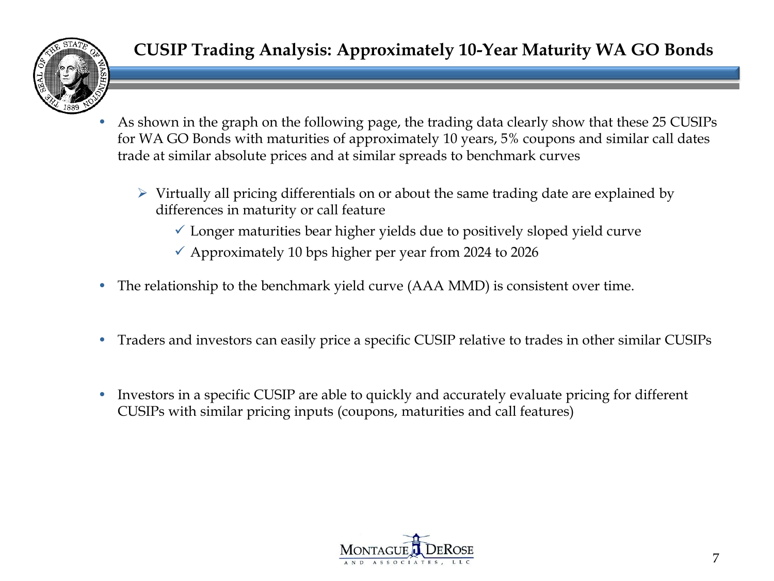

- As shown in the graph on the following page, the trading data clearly show that these 25 CUSIPs for WA GO Bonds with maturities of approximately 10 years, 5% coupons and similar call dates trade at similar absolute prices and at similar spreads to benchmark curves
	- $\triangleright$  Virtually all pricing differentials on or about the same trading date are explained by differences in maturity or call feature
		- $\checkmark$  Longer maturities bear higher yields due to positively sloped yield curve
		- $\checkmark$  Approximately 10 bps higher per year from 2024 to 2026
- The relationship to the benchmark yield curve (AAA MMD) is consistent over time.
- Traders and investors can easily price a specific CUSIP relative to trades in other similar CUSIPs
- Investors in a specific CUSIP are able to quickly and accurately evaluate pricing for different CUSIPs with similar pricing inputs (coupons, maturities and call features)

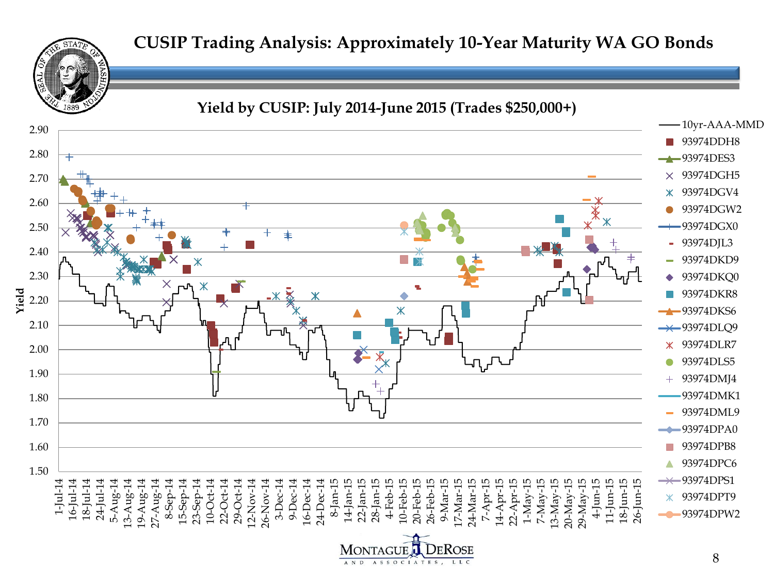### **CUSIP Trading Analysis: Approximately 10-Year Maturity WA GO Bonds**



AND

ASSOCIATES,

 $1$   $1$   $C$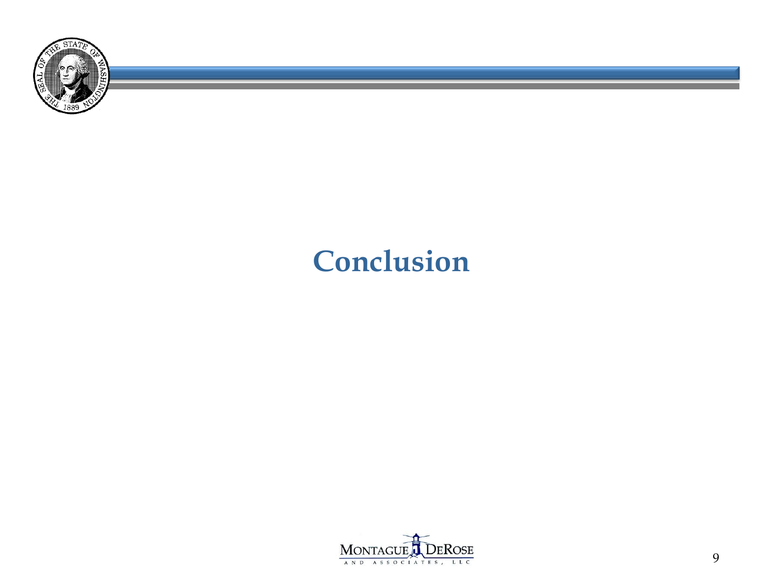

## **Conclusion**